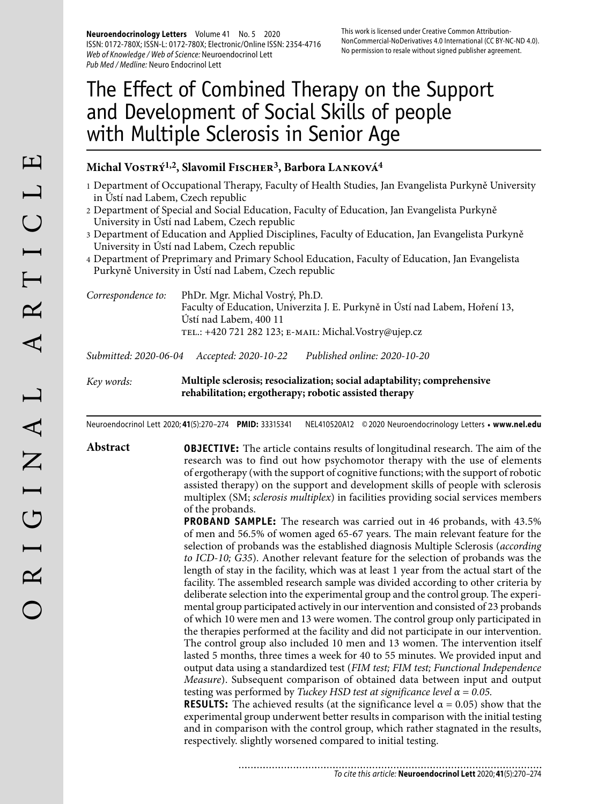**Neuroendocrinology Letters** Volume 41 No. 5 2020 ISSN: 0172-780X; ISSN-L: 0172-780X; Electronic/Online ISSN: 2354-4716 Web of Knowledge / Web of Science: Neuroendocrinol Lett Pub Med / Medline: Neuro Endocrinol Lett

# The Effect of Combined Therapy on the Support and Development of Social Skills of people with Multiple Sclerosis in Senior Age

### **Michal Vostrý1,2, Slavomil Fischer3, Barbora Lanková4**

- 1 Department of Occupational Therapy, Faculty of Health Studies, Jan Evangelista Purkyně University in Ústí nad Labem, Czech republic
- 2 Department of Special and Social Education, Faculty of Education, Jan Evangelista Purkyně University in Ústí nad Labem, Czech republic
- 3 Department of Education and Applied Disciplines, Faculty of Education, Jan Evangelista Purkyně University in Ústí nad Labem, Czech republic
- 4 Department of Preprimary and Primary School Education, Faculty of Education, Jan Evangelista Purkyně University in Ústí nad Labem, Czech republic

| Correspondence to: | PhDr. Mgr. Michal Vostrý, Ph.D.                                              |
|--------------------|------------------------------------------------------------------------------|
|                    | Faculty of Education, Univerzita J. E. Purkyně in Ústí nad Labem, Hoření 13, |
|                    | Ústí nad Labem, 400 11                                                       |
|                    | TEL.: +420 721 282 123; E-MAIL: Michal.Vostry@ujep.cz                        |
|                    |                                                                              |

*Submitted: 2020-06-04 Accepted: 2020-10-22 Published online: 2020-10-20*

*Key words:* **Multiple sclerosis; resocialization; social adaptability; comprehensive rehabilitation; ergotherapy; robotic assisted therapy**

Neuroendocrinol Lett 2020; **41**(5):270–274 **PMID:** 33315341 NEL410520A12 © 2020 Neuroendocrinology Letters • **www.nel.edu**

**Abstract OBJECTIVE:** The article contains results of longitudinal research. The aim of the research was to find out how psychomotor therapy with the use of elements of ergotherapy (with the support of cognitive functions; with the support of robotic assisted therapy) on the support and development skills of people with sclerosis multiplex (SM; *sclerosis multiplex*) in facilities providing social services members of the probands.

> **PROBAND SAMPLE:** The research was carried out in 46 probands, with 43.5% of men and 56.5% of women aged 65-67 years. The main relevant feature for the selection of probands was the established diagnosis Multiple Sclerosis (*according to ICD-10; G35*). Another relevant feature for the selection of probands was the length of stay in the facility, which was at least 1 year from the actual start of the facility. The assembled research sample was divided according to other criteria by deliberate selection into the experimental group and the control group. The experimental group participated actively in our intervention and consisted of 23 probands of which 10 were men and 13 were women. The control group only participated in the therapies performed at the facility and did not participate in our intervention. The control group also included 10 men and 13 women. The intervention itself lasted 5 months, three times a week for 40 to 55 minutes. We provided input and output data using a standardized test (*FIM test; FIM test; Functional Independence Measure*). Subsequent comparison of obtained data between input and output testing was performed by *Tuckey HSD test at significance level α = 0.05.* **RESULTS:** The achieved results (at the significance level  $\alpha = 0.05$ ) show that the

experimental group underwent better results in comparison with the initial testing and in comparison with the control group, which rather stagnated in the results, respectively. slightly worsened compared to initial testing.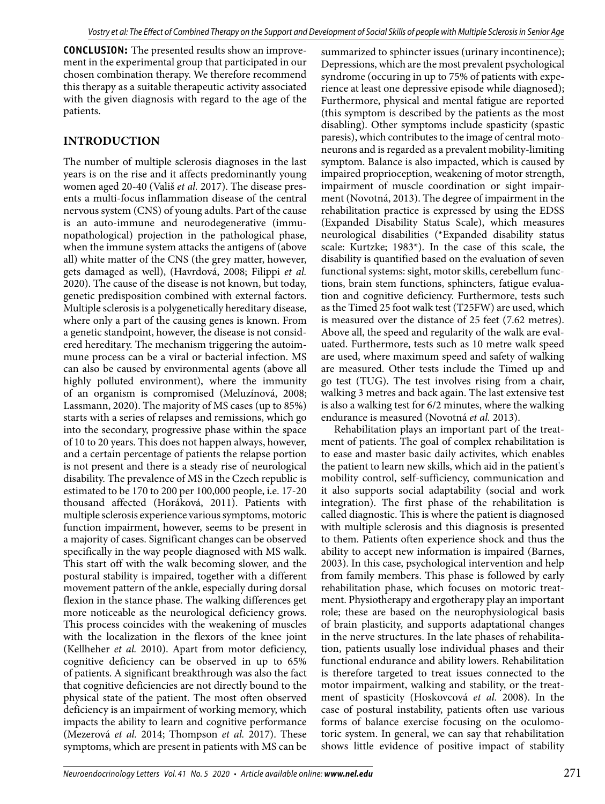**CONCLUSION:** The presented results show an improvement in the experimental group that participated in our chosen combination therapy. We therefore recommend this therapy as a suitable therapeutic activity associated with the given diagnosis with regard to the age of the patients.

# **INTRODUCTION**

The number of multiple sclerosis diagnoses in the last years is on the rise and it affects predominantly young women aged 20-40 (Vališ *et al.* 2017). The disease presents a multi-focus inflammation disease of the central nervous system (CNS) of young adults. Part of the cause is an auto-immune and neurodegenerative (immunopathological) projection in the pathological phase, when the immune system attacks the antigens of (above all) white matter of the CNS (the grey matter, however, gets damaged as well), (Havrdová, 2008; Filippi *et al.* 2020). The cause of the disease is not known, but today, genetic predisposition combined with external factors. Multiple sclerosis is a polygenetically hereditary disease, where only a part of the causing genes is known. From a genetic standpoint, however, the disease is not considered hereditary. The mechanism triggering the autoimmune process can be a viral or bacterial infection. MS can also be caused by environmental agents (above all highly polluted environment), where the immunity of an organism is compromised (Meluzínová, 2008; Lassmann, 2020). The majority of MS cases (up to 85%) starts with a series of relapses and remissions, which go into the secondary, progressive phase within the space of 10 to 20 years. This does not happen always, however, and a certain percentage of patients the relapse portion is not present and there is a steady rise of neurological disability. The prevalence of MS in the Czech republic is estimated to be 170 to 200 per 100,000 people, i.e. 17-20 thousand affected (Horáková, 2011). Patients with multiple sclerosis experience various symptoms, motoric function impairment, however, seems to be present in a majority of cases. Significant changes can be observed specifically in the way people diagnosed with MS walk. This start off with the walk becoming slower, and the postural stability is impaired, together with a different movement pattern of the ankle, especially during dorsal flexion in the stance phase. The walking differences get more noticeable as the neurological deficiency grows. This process coincides with the weakening of muscles with the localization in the flexors of the knee joint (Kellheher *et al.* 2010). Apart from motor deficiency, cognitive deficiency can be observed in up to 65% of patients. A significant breakthrough was also the fact that cognitive deficiencies are not directly bound to the physical state of the patient. The most often observed deficiency is an impairment of working memory, which impacts the ability to learn and cognitive performance (Mezerová *et al.* 2014; Thompson *et al.* 2017). These symptoms, which are present in patients with MS can be

summarized to sphincter issues (urinary incontinence); Depressions, which are the most prevalent psychological syndrome (occuring in up to 75% of patients with experience at least one depressive episode while diagnosed); Furthermore, physical and mental fatigue are reported (this symptom is described by the patients as the most disabling). Other symptoms include spasticity (spastic paresis), which contributes to the image of central motoneurons and is regarded as a prevalent mobility-limiting symptom. Balance is also impacted, which is caused by impaired proprioception, weakening of motor strength, impairment of muscle coordination or sight impairment (Novotná, 2013). The degree of impairment in the rehabilitation practice is expressed by using the EDSS (Expanded Disability Status Scale), which measures neurological disabilities (\*Expanded disability status scale: Kurtzke; 1983\*). In the case of this scale, the disability is quantified based on the evaluation of seven functional systems: sight, motor skills, cerebellum functions, brain stem functions, sphincters, fatigue evaluation and cognitive deficiency. Furthermore, tests such as the Timed 25 foot walk test (T25FW) are used, which is measured over the distance of 25 feet (7.62 metres). Above all, the speed and regularity of the walk are evaluated. Furthermore, tests such as 10 metre walk speed are used, where maximum speed and safety of walking are measured. Other tests include the Timed up and go test (TUG). The test involves rising from a chair, walking 3 metres and back again. The last extensive test is also a walking test for 6/2 minutes, where the walking endurance is measured (Novotná *et al.* 2013).

Rehabilitation plays an important part of the treatment of patients. The goal of complex rehabilitation is to ease and master basic daily activites, which enables the patient to learn new skills, which aid in the patient's mobility control, self-sufficiency, communication and it also supports social adaptability (social and work integration). The first phase of the rehabilitation is called diagnostic. This is where the patient is diagnosed with multiple sclerosis and this diagnosis is presented to them. Patients often experience shock and thus the ability to accept new information is impaired (Barnes, 2003). In this case, psychological intervention and help from family members. This phase is followed by early rehabilitation phase, which focuses on motoric treatment. Physiotherapy and ergotherapy play an important role; these are based on the neurophysiological basis of brain plasticity, and supports adaptational changes in the nerve structures. In the late phases of rehabilitation, patients usually lose individual phases and their functional endurance and ability lowers. Rehabilitation is therefore targeted to treat issues connected to the motor impairment, walking and stability, or the treatment of spasticity (Hoskovcová *et al.* 2008). In the case of postural instability, patients often use various forms of balance exercise focusing on the oculomotoric system. In general, we can say that rehabilitation shows little evidence of positive impact of stability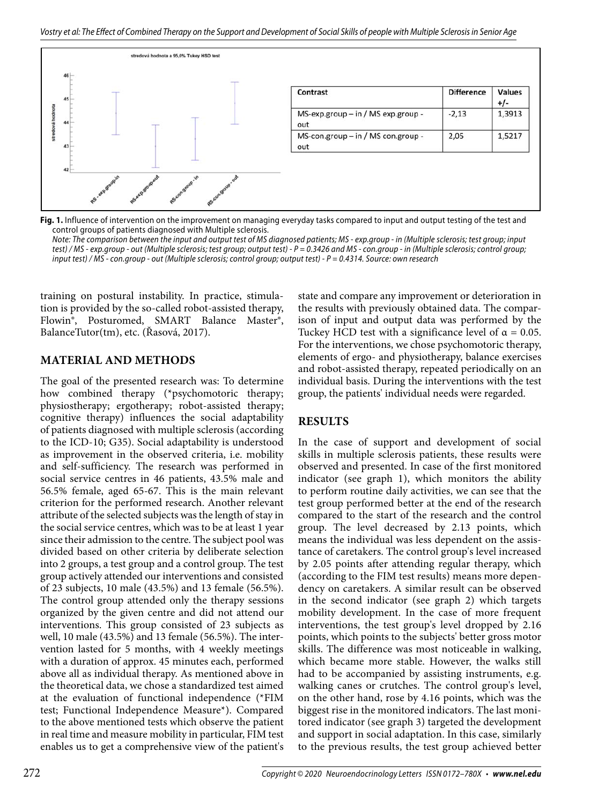

**Fig. 1.** Influence of intervention on the improvement on managing everyday tasks compared to input and output testing of the test and control groups of patients diagnosed with Multiple sclerosis.

Note: The comparison between the input and output test of MS diagnosed patients; MS - exp.group - in (Multiple sclerosis; test group; input test) / MS - exp.group - out (Multiple sclerosis; test group; output test) - P = 0.3426 and MS - con.group - in (Multiple sclerosis; control group; input test) / MS - con.group - out (Multiple sclerosis; control group; output test) - P = 0.4314. Source: own research

training on postural instability. In practice, stimulation is provided by the so-called robot-assisted therapy, Flowin®, Posturomed, SMART Balance Master®, BalanceTutor(tm), etc. (Řasová, 2017).

#### **MATERIAL AND METHODS**

The goal of the presented research was: To determine how combined therapy (\*psychomotoric therapy; physiostherapy; ergotherapy; robot-assisted therapy; cognitive therapy) influences the social adaptability of patients diagnosed with multiple sclerosis (according to the ICD-10; G35). Social adaptability is understood as improvement in the observed criteria, i.e. mobility and self-sufficiency. The research was performed in social service centres in 46 patients, 43.5% male and 56.5% female, aged 65-67. This is the main relevant criterion for the performed research. Another relevant attribute of the selected subjects was the length of stay in the social service centres, which was to be at least 1 year since their admission to the centre. The subject pool was divided based on other criteria by deliberate selection into 2 groups, a test group and a control group. The test group actively attended our interventions and consisted of 23 subjects, 10 male (43.5%) and 13 female (56.5%). The control group attended only the therapy sessions organized by the given centre and did not attend our interventions. This group consisted of 23 subjects as well, 10 male (43.5%) and 13 female (56.5%). The intervention lasted for 5 months, with 4 weekly meetings with a duration of approx. 45 minutes each, performed above all as individual therapy. As mentioned above in the theoretical data, we chose a standardized test aimed at the evaluation of functional independence (\*FIM test; Functional Independence Measure\*). Compared to the above mentioned tests which observe the patient in real time and measure mobility in particular, FIM test enables us to get a comprehensive view of the patient's

state and compare any improvement or deterioration in the results with previously obtained data. The comparison of input and output data was performed by the Tuckey HCD test with a significance level of  $\alpha = 0.05$ . For the interventions, we chose psychomotoric therapy, elements of ergo- and physiotherapy, balance exercises and robot-assisted therapy, repeated periodically on an individual basis. During the interventions with the test group, the patients' individual needs were regarded.

# **RESULTS**

In the case of support and development of social skills in multiple sclerosis patients, these results were observed and presented. In case of the first monitored indicator (see graph 1), which monitors the ability to perform routine daily activities, we can see that the test group performed better at the end of the research compared to the start of the research and the control group. The level decreased by 2.13 points, which means the individual was less dependent on the assistance of caretakers. The control group's level increased by 2.05 points after attending regular therapy, which (according to the FIM test results) means more dependency on caretakers. A similar result can be observed in the second indicator (see graph 2) which targets mobility development. In the case of more frequent interventions, the test group's level dropped by 2.16 points, which points to the subjects' better gross motor skills. The difference was most noticeable in walking, which became more stable. However, the walks still had to be accompanied by assisting instruments, e.g. walking canes or crutches. The control group's level, on the other hand, rose by 4.16 points, which was the biggest rise in the monitored indicators. The last monitored indicator (see graph 3) targeted the development and support in social adaptation. In this case, similarly to the previous results, the test group achieved better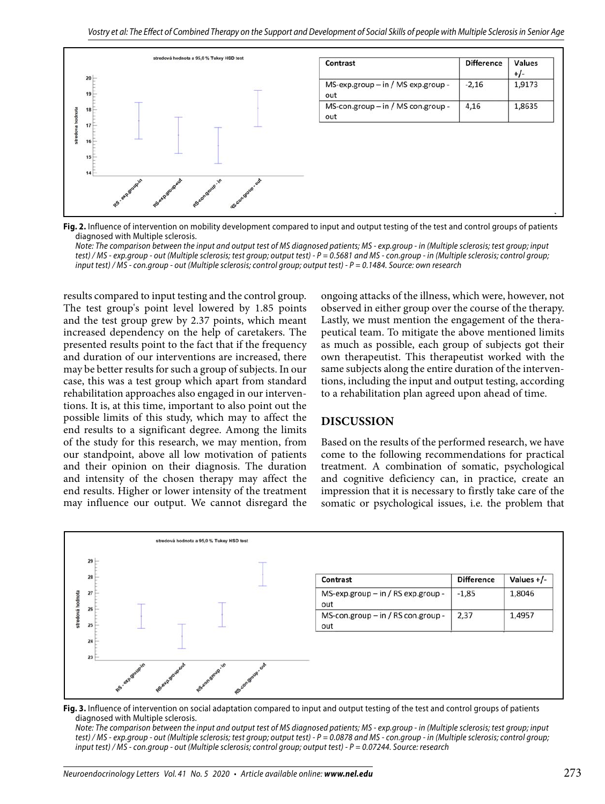

**Fig. 2.** Influence of intervention on mobility development compared to input and output testing of the test and control groups of patients diagnosed with Multiple sclerosis.

Note: The comparison between the input and output test of MS diagnosed patients; MS - exp.group - in (Multiple sclerosis; test group; input test) / MS - exp.group - out (Multiple sclerosis; test group; output test) - P = 0.5681 and MS - con.group - in (Multiple sclerosis; control group; input test) / MS - con.group - out (Multiple sclerosis; control group; output test) - P = 0.1484. Source: own research

results compared to input testing and the control group. The test group's point level lowered by 1.85 points and the test group grew by 2.37 points, which meant increased dependency on the help of caretakers. The presented results point to the fact that if the frequency and duration of our interventions are increased, there may be better results for such a group of subjects. In our case, this was a test group which apart from standard rehabilitation approaches also engaged in our interventions. It is, at this time, important to also point out the possible limits of this study, which may to affect the end results to a significant degree. Among the limits of the study for this research, we may mention, from our standpoint, above all low motivation of patients and their opinion on their diagnosis. The duration and intensity of the chosen therapy may affect the end results. Higher or lower intensity of the treatment may influence our output. We cannot disregard the

ongoing attacks of the illness, which were, however, not observed in either group over the course of the therapy. Lastly, we must mention the engagement of the therapeutical team. To mitigate the above mentioned limits as much as possible, each group of subjects got their own therapeutist. This therapeutist worked with the same subjects along the entire duration of the interventions, including the input and output testing, according to a rehabilitation plan agreed upon ahead of time.

#### **DISCUSSION**

Based on the results of the performed research, we have come to the following recommendations for practical treatment. A combination of somatic, psychological and cognitive deficiency can, in practice, create an impression that it is necessary to firstly take care of the somatic or psychological issues, i.e. the problem that



**Fig. 3.** Influence of intervention on social adaptation compared to input and output testing of the test and control groups of patients diagnosed with Multiple sclerosis.

Note: The comparison between the input and output test of MS diagnosed patients; MS - exp.group - in (Multiple sclerosis; test group; input test) / MS - exp.group - out (Multiple sclerosis; test group; output test) - P = 0.0878 and MS - con.group - in (Multiple sclerosis; control group; input test) / MS - con.group - out (Multiple sclerosis; control group; output test) - P = 0.07244. Source: research